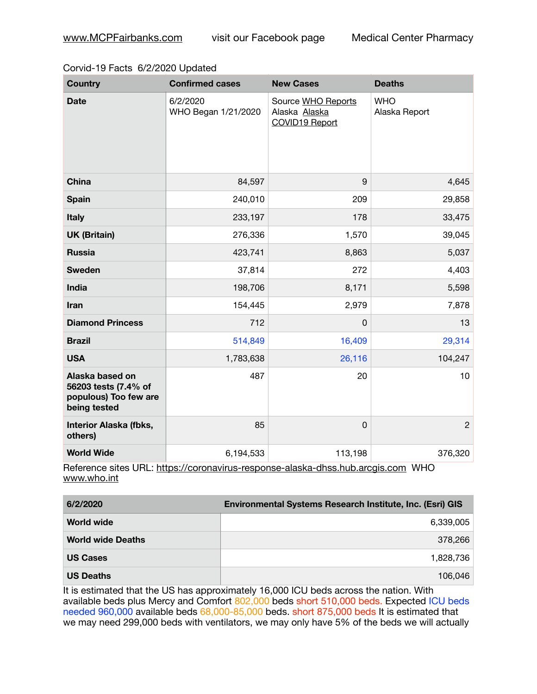## Corvid-19 Facts 6/2/2020 Updated

| <b>Country</b>                                                                   | <b>Confirmed cases</b>          | <b>New Cases</b>                                      | <b>Deaths</b>               |
|----------------------------------------------------------------------------------|---------------------------------|-------------------------------------------------------|-----------------------------|
| <b>Date</b>                                                                      | 6/2/2020<br>WHO Began 1/21/2020 | Source WHO Reports<br>Alaska Alaska<br>COVID19 Report | <b>WHO</b><br>Alaska Report |
| <b>China</b>                                                                     | 84,597                          | 9                                                     | 4,645                       |
| <b>Spain</b>                                                                     | 240,010                         | 209                                                   | 29,858                      |
| Italy                                                                            | 233,197                         | 178                                                   | 33,475                      |
| <b>UK (Britain)</b>                                                              | 276,336                         | 1,570                                                 | 39,045                      |
| <b>Russia</b>                                                                    | 423,741                         | 8,863                                                 | 5,037                       |
| <b>Sweden</b>                                                                    | 37,814                          | 272                                                   | 4,403                       |
| India                                                                            | 198,706                         | 8,171                                                 | 5,598                       |
| Iran                                                                             | 154,445                         | 2,979                                                 | 7,878                       |
| <b>Diamond Princess</b>                                                          | 712                             | 0                                                     | 13                          |
| <b>Brazil</b>                                                                    | 514,849                         | 16,409                                                | 29,314                      |
| <b>USA</b>                                                                       | 1,783,638                       | 26,116                                                | 104,247                     |
| Alaska based on<br>56203 tests (7.4% of<br>populous) Too few are<br>being tested | 487                             | 20                                                    | 10                          |
| <b>Interior Alaska (fbks,</b><br>others)                                         | 85                              | $\mathbf 0$                                           | $\overline{c}$              |
| <b>World Wide</b>                                                                | 6,194,533                       | 113,198<br>.                                          | 376,320<br>$\cdots$         |

Reference sites URL: <https://coronavirus-response-alaska-dhss.hub.arcgis.com> WHO [www.who.int](http://www.who.int)

| 6/2/2020                 | Environmental Systems Research Institute, Inc. (Esri) GIS |
|--------------------------|-----------------------------------------------------------|
| <b>World wide</b>        | 6,339,005                                                 |
| <b>World wide Deaths</b> | 378,266                                                   |
| <b>US Cases</b>          | 1,828,736                                                 |
| <b>US Deaths</b>         | 106,046                                                   |

It is estimated that the US has approximately 16,000 ICU beds across the nation. With available beds plus Mercy and Comfort 802,000 beds short 510,000 beds. Expected ICU beds needed 960,000 available beds 68,000-85,000 beds. short 875,000 beds It is estimated that we may need 299,000 beds with ventilators, we may only have 5% of the beds we will actually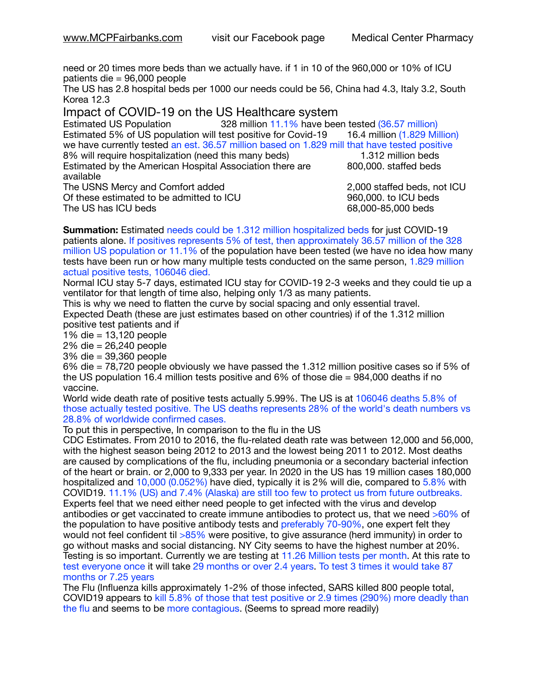need or 20 times more beds than we actually have. if 1 in 10 of the 960,000 or 10% of ICU patients die = 96,000 people

The US has 2.8 hospital beds per 1000 our needs could be 56, China had 4.3, Italy 3.2, South Korea 12.3

Impact of COVID-19 on the US Healthcare system

Estimated US Population 328 million 11.1% have been tested (36.57 million) Estimated 5% of US population will test positive for Covid-19 16.4 million (1.829 Million) we have currently tested an est. 36.57 million based on 1.829 mill that have tested positive 8% will require hospitalization (need this many beds) 1.312 million beds Estimated by the American Hospital Association there are  $\sim$  800,000. staffed beds available The USNS Mercy and Comfort added 2,000 staffed beds, not ICU Of these estimated to be admitted to ICU **860,000**. to ICU beds The US has ICU beds but be different to the control of the G8,000-85,000 beds 68,000-85,000 beds but be different to the control of the control of the control of the control of the control of the control of the

**Summation:** Estimated needs could be 1.312 million hospitalized beds for just COVID-19 patients alone. If positives represents 5% of test, then approximately 36.57 million of the 328 million US population or 11.1% of the population have been tested (we have no idea how many tests have been run or how many multiple tests conducted on the same person, 1.829 million actual positive tests, 106046 died.

Normal ICU stay 5-7 days, estimated ICU stay for COVID-19 2-3 weeks and they could tie up a ventilator for that length of time also, helping only 1/3 as many patients.

This is why we need to flatten the curve by social spacing and only essential travel. Expected Death (these are just estimates based on other countries) if of the 1.312 million positive test patients and if

1% die = 13,120 people

2% die = 26,240 people

3% die = 39,360 people

6% die = 78,720 people obviously we have passed the 1.312 million positive cases so if 5% of the US population 16.4 million tests positive and 6% of those die = 984,000 deaths if no vaccine.

World wide death rate of positive tests actually 5.99%. The US is at 106046 deaths 5.8% of those actually tested positive. The US deaths represents 28% of the world's death numbers vs 28.8% of worldwide confirmed cases.

To put this in perspective, In comparison to the flu in the US

CDC Estimates. From 2010 to 2016, the flu-related death rate was between 12,000 and 56,000, with the highest season being 2012 to 2013 and the lowest being 2011 to 2012. Most deaths are caused by complications of the flu, including pneumonia or a secondary bacterial infection of the heart or brain. or 2,000 to 9,333 per year. In 2020 in the US has 19 million cases 180,000 hospitalized and 10,000 (0.052%) have died, typically it is 2% will die, compared to 5.8% with COVID19. 11.1% (US) and 7.4% (Alaska) are still too few to protect us from future outbreaks. Experts feel that we need either need people to get infected with the virus and develop antibodies or get vaccinated to create immune antibodies to protect us, that we need >60% of the population to have positive antibody tests and preferably 70-90%, one expert felt they would not feel confident til >85% were positive, to give assurance (herd immunity) in order to go without masks and social distancing. NY City seems to have the highest number at 20%. Testing is so important. Currently we are testing at 11.26 Million tests per month. At this rate to test everyone once it will take 29 months or over 2.4 years. To test 3 times it would take 87 months or 7.25 years

The Flu (Influenza kills approximately 1-2% of those infected, SARS killed 800 people total, COVID19 appears to kill 5.8% of those that test positive or 2.9 times (290%) more deadly than the flu and seems to be more contagious. (Seems to spread more readily)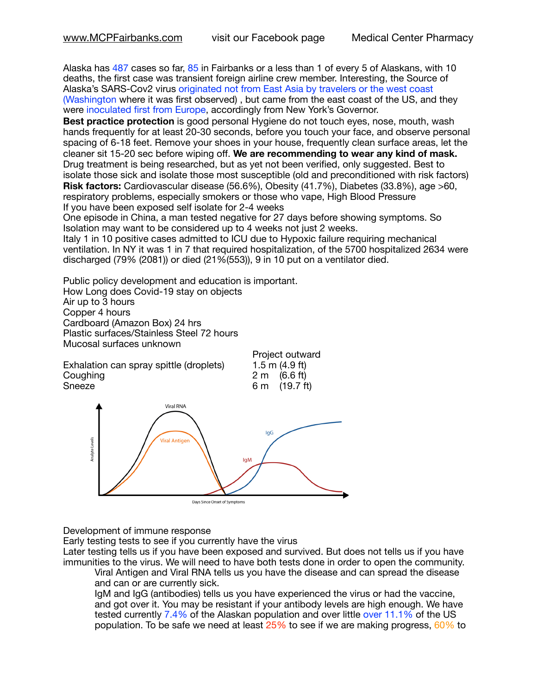Alaska has 487 cases so far, 85 in Fairbanks or a less than 1 of every 5 of Alaskans, with 10 deaths, the first case was transient foreign airline crew member. Interesting, the Source of Alaska's SARS-Cov2 virus originated not from East Asia by travelers or the west coast (Washington where it was first observed) , but came from the east coast of the US, and they were inoculated first from Europe, accordingly from New York's Governor.

**Best practice protection** is good personal Hygiene do not touch eyes, nose, mouth, wash hands frequently for at least 20-30 seconds, before you touch your face, and observe personal spacing of 6-18 feet. Remove your shoes in your house, frequently clean surface areas, let the cleaner sit 15-20 sec before wiping off. **We are recommending to wear any kind of mask.** Drug treatment is being researched, but as yet not been verified, only suggested. Best to isolate those sick and isolate those most susceptible (old and preconditioned with risk factors) **Risk factors:** Cardiovascular disease (56.6%), Obesity (41.7%), Diabetes (33.8%), age >60, respiratory problems, especially smokers or those who vape, High Blood Pressure If you have been exposed self isolate for 2-4 weeks

One episode in China, a man tested negative for 27 days before showing symptoms. So Isolation may want to be considered up to 4 weeks not just 2 weeks.

Italy 1 in 10 positive cases admitted to ICU due to Hypoxic failure requiring mechanical ventilation. In NY it was 1 in 7 that required hospitalization, of the 5700 hospitalized 2634 were discharged (79% (2081)) or died (21%(553)), 9 in 10 put on a ventilator died.

Public policy development and education is important. How Long does Covid-19 stay on objects Air up to 3 hours Copper 4 hours Cardboard (Amazon Box) 24 hrs Plastic surfaces/Stainless Steel 72 hours Mucosal surfaces unknown

Exhalation can spray spittle (droplets)<br>Coughing Coughing 2 m (6.6 ft)<br>
Sneeze 6 m (19.7 ft)

Project outward<br>1.5 m (4.9 ft)  $6 m$  (19.7 ft)



Development of immune response

Early testing tests to see if you currently have the virus

Later testing tells us if you have been exposed and survived. But does not tells us if you have immunities to the virus. We will need to have both tests done in order to open the community.

Viral Antigen and Viral RNA tells us you have the disease and can spread the disease and can or are currently sick.

IgM and IgG (antibodies) tells us you have experienced the virus or had the vaccine, and got over it. You may be resistant if your antibody levels are high enough. We have tested currently 7.4% of the Alaskan population and over little over 11.1% of the US population. To be safe we need at least 25% to see if we are making progress, 60% to